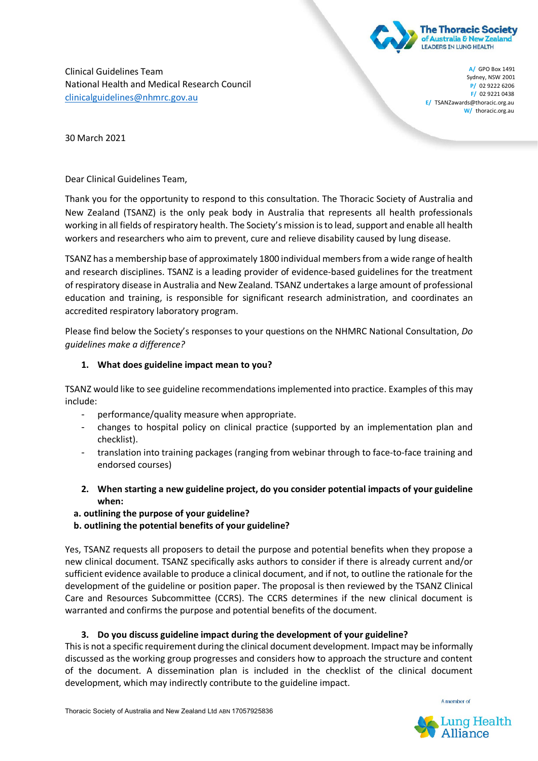

Clinical Guidelines Team National Health and Medical Research Council clinicalguidelines@nhmrc.gov.au

**A/** GPO Box 1491 Sydney, NSW 2001 **P/** 02 9222 6206 **F/** 02 9221 0438 **E/ TSANZawards@thoracic.org.au. W/** thoracic.org.au

30 March 2021

Dear Clinical Guidelines Team,

Thank you for the opportunity to respond to this consultation. The Thoracic Society of Australia and New Zealand (TSANZ) is the only peak body in Australia that represents all health professionals working in all fields of respiratory health. The Society's mission is to lead, support and enable all health workers and researchers who aim to prevent, cure and relieve disability caused by lung disease.

TSANZ has a membership base of approximately 1800 individual members from a wide range of health and research disciplines. TSANZ is a leading provider of evidence-based guidelines for the treatment of respiratory disease in Australia and New Zealand. TSANZ undertakes a large amount of professional education and training, is responsible for significant research administration, and coordinates an accredited respiratory laboratory program.

Please find below the Society's responses to your questions on the NHMRC National Consultation, *Do guidelines make a difference?* 

## **1. What does guideline impact mean to you?**

TSANZ would like to see guideline recommendations implemented into practice. Examples of this may include:

- performance/quality measure when appropriate.
- changes to hospital policy on clinical practice (supported by an implementation plan and checklist).
- translation into training packages (ranging from webinar through to face-to-face training and endorsed courses)
- **2. When starting a new guideline project, do you consider potential impacts of your guideline when:**
- **a. outlining the purpose of your guideline?**
- **b. outlining the potential benefits of your guideline?**

Yes, TSANZ requests all proposers to detail the purpose and potential benefits when they propose a new clinical document. TSANZ specifically asks authors to consider if there is already current and/or sufficient evidence available to produce a clinical document, and if not, to outline the rationale for the development of the guideline or position paper. The proposal is then reviewed by the TSANZ Clinical Care and Resources Subcommittee (CCRS). The CCRS determines if the new clinical document is warranted and confirms the purpose and potential benefits of the document.

## **3. Do you discuss guideline impact during the development of your guideline?**

This is not a specific requirement during the clinical document development. Impact may be informally discussed as the working group progresses and considers how to approach the structure and content of the document. A dissemination plan is included in the checklist of the clinical document development, which may indirectly contribute to the guideline impact.

A member of

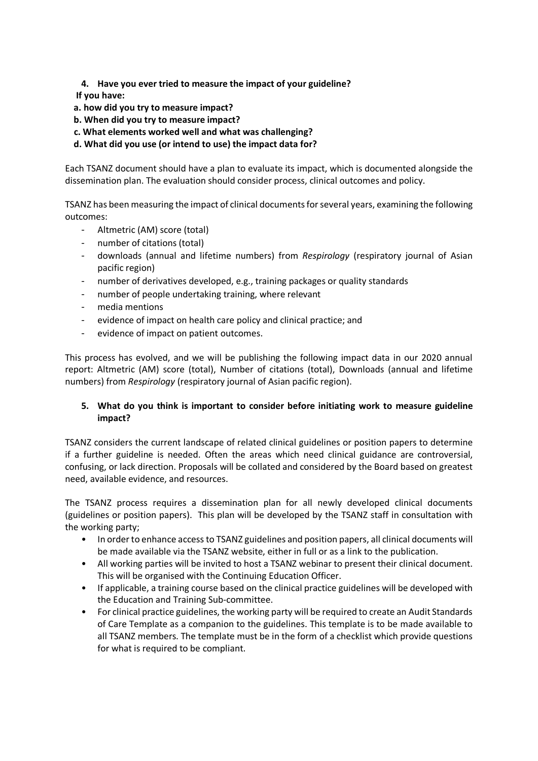- **4. Have you ever tried to measure the impact of your guideline?**
- **If you have:**
- **a. how did you try to measure impact?**
- **b. When did you try to measure impact?**
- **c. What elements worked well and what was challenging?**
- **d. What did you use (or intend to use) the impact data for?**

Each TSANZ document should have a plan to evaluate its impact, which is documented alongside the dissemination plan. The evaluation should consider process, clinical outcomes and policy.

TSANZ has been measuring the impact of clinical documents for several years, examining the following outcomes:

- Altmetric (AM) score (total)
- number of citations (total)
- downloads (annual and lifetime numbers) from *Respirology* (respiratory journal of Asian pacific region)
- number of derivatives developed, e.g., training packages or quality standards
- number of people undertaking training, where relevant
- media mentions
- evidence of impact on health care policy and clinical practice; and
- evidence of impact on patient outcomes.

This process has evolved, and we will be publishing the following impact data in our 2020 annual report: Altmetric (AM) score (total), Number of citations (total), Downloads (annual and lifetime numbers) from *Respirology* (respiratory journal of Asian pacific region).

## **5. What do you think is important to consider before initiating work to measure guideline impact?**

TSANZ considers the current landscape of related clinical guidelines or position papers to determine if a further guideline is needed. Often the areas which need clinical guidance are controversial, confusing, or lack direction. Proposals will be collated and considered by the Board based on greatest need, available evidence, and resources.

The TSANZ process requires a dissemination plan for all newly developed clinical documents (guidelines or position papers). This plan will be developed by the TSANZ staff in consultation with the working party;

- In order to enhance access to TSANZ guidelines and position papers, all clinical documents will be made available via the TSANZ website, either in full or as a link to the publication.
- All working parties will be invited to host a TSANZ webinar to present their clinical document. This will be organised with the Continuing Education Officer.
- If applicable, a training course based on the clinical practice guidelines will be developed with the Education and Training Sub-committee.
- For clinical practice guidelines, the working party will be required to create an Audit Standards of Care Template as a companion to the guidelines. This template is to be made available to all TSANZ members. The template must be in the form of a checklist which provide questions for what is required to be compliant.